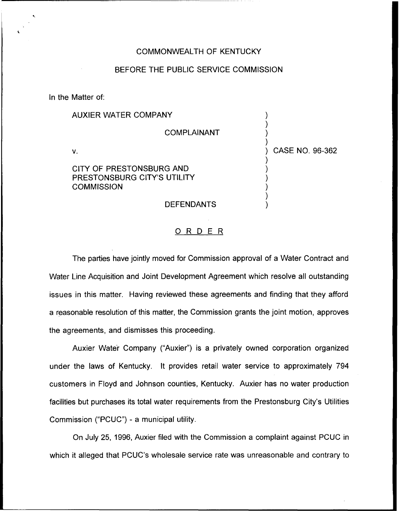## COMMONWEALTH OF KENTUCKY

## BEFORE THE PUBLIC SERVICE COMMISSION

In the Matter of:

| <b>AUXIER WATER COMPANY</b>                                                  |                 |
|------------------------------------------------------------------------------|-----------------|
| <b>COMPLAINANT</b>                                                           |                 |
| v.                                                                           | CASE NO. 96-362 |
| CITY OF PRESTONSBURG AND<br>PRESTONSBURG CITY'S UTILITY<br><b>COMMISSION</b> |                 |
| <b>DEFENDANTS</b>                                                            |                 |

## 0 <sup>R</sup> <sup>D</sup> <sup>E</sup> <sup>R</sup>

The parties have jointly moved for Commission approval of a Water Contract and Water Line Acquisition and Joint Development Agreement which resolve all outstanding issues in this matter. Having reviewed these agreements and finding that they afford a reasonable resolution of this matter, the Commission grants the joint motion, approves the agreements, and dismisses this proceeding.

Auxier Water Company ("Auxier") is a privately owned corporation organized under the laws of Kentucky. It provides retail water service to approximately 794 customers in Floyd and Johnson counties, Kentucky. Auxier has no water production facilities but purchases its total water requirements from the Prestonsburg City's Utilities Commission ("PCUC") - a municipal utility.

On July 25, 1996, Auxier filed with the Commission a complaint against PCUC in which it alleged that PCUC's wholesale service rate was unreasonable and contrary to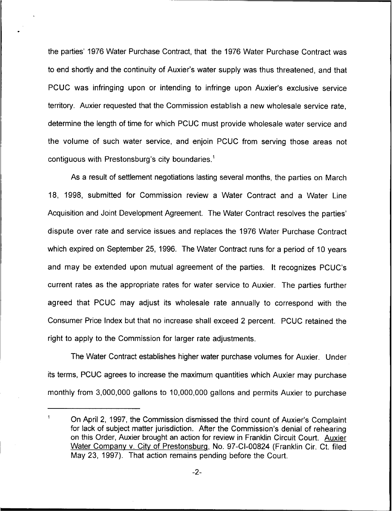the parties' 1976 Water Purchase Contract, that the 1976 Water Purchase Contract was to end shortly and the continuity of Auxier's water supply was thus threatened, and that PCUC was infringing upon or intending to infringe upon Auxier's exclusive service territory. Auxier requested that the Commission establish a new wholesale service rate, determine the length of time for which PCUC must provide wholesale water service and the volume of such water service, and enjoin PCUC from serving those areas not contiguous with Prestonsburg's city boundaries.<sup>1</sup>

a result of settlement negotiations lasting several months, the parties on March 18, 1998, submitted for Commission review a Water Contract and a Water Line Acquisition and Joint Development Agreement. The Water Contract resolves the parties' dispute over rate and service issues and replaces the 1976 Water Purchase Contract which expired on September 25, 1996. The Water Contract runs for a period of 10 years and may be extended upon mutual agreement of the parties. It recognizes PCUC's current rates as the appropriate rates for water service to Auxier. The parties further agreed that PCUC may adjust its wholesale rate annually to correspond with the Consumer Price Index but that no increase shall exceed 2 percent. PCUC retained the right to apply to the Commission for larger rate adjustments.

The Water Contract establishes higher water purchase volumes for Auxier. Under its terms, PCUC agrees to increase the maximum quantities which Auxier may purchase monthly from 3,000,000 gallons to 10,000,000 gallons and permits Auxier to purchase

 $\mathbf{1}$ 

On April 2, 1997, the Commission dismissed the third count of Auxier's Complaint for lack of subject matter jurisdiction. After the Commission's denial of rehearing on this Order, Auxier brought an action for review in Franklin Circuit Court. Auxier Water Company v. City of Prestonsburg, No. 97-CI-00824 (Franklin Cir. Ct. filed May 23, 1997). That action remains pending before the Court.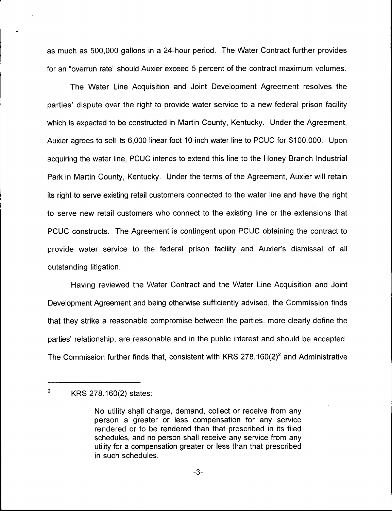as much as 500,000 gallons in a 24-hour period. The Water Contract further provides for an "overrun rate" should Auxier exceed 5 percent of the contract maximum volumes.

The Water Line Acquisition and Joint Development Agreement resolves the parties' dispute over the right to provide water service to a new federal prison facility which is expected to be constructed in Martin County, Kentucky. Under the Agreement, Auxier agrees to sell its 6,000 linear foot 10-inch water line to PCUC for \$100,000. Upon acquiring the water line, PCUC intends to extend this line to the Honey Branch Industrial Park in Martin County, Kentucky. Under the terms of the Agreement, Auxier will retain its right to serve existing retail customers connected to the water line and have the right to serve new retail customers who connect to the existing line or the extensions that PCUC constructs. The Agreement is contingent upon PCUC obtaining the contract to provide water service to the federal prison facility and Auxier's dismissal of all outstanding litigation.

Having reviewed the Water Contract and the Water Line Acquisition and Joint Development Agreement and being otherwise sufficiently advised, the Commission finds that they strike a reasonable compromise between the parties, more clearly define the parties' relationship, are reasonable and in the public interest and should be accepted. The Commission further finds that, consistent with KRS 278.160 $(2)^2$  and Administrative

 $\overline{2}$ KRS 278.160(2) states:

No utility shall charge, demand, collect or receive from any person a greater or less compensation for any service rendered or to be rendered than that prescribed in its filed schedules, and no person shall receive any service from any utility for a compensation greater or less than that prescribed in such schedules.